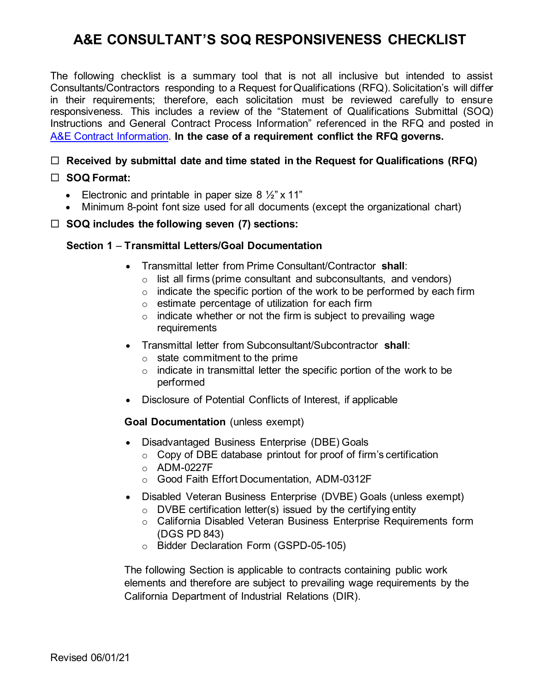## **A&E CONSULTANT'S SOQ RESPONSIVENESS CHECKLIST**

The following checklist is a summary tool that is not all inclusive but intended to assist Consultants/Contractors responding to a Request for Qualifications (RFQ). Solicitation's will differ in their requirements; therefore, each solicitation must be reviewed carefully to ensure responsiveness. This includes a review of the "Statement of Qualifications Submittal (SOQ) Instructions and General Contract Process Information" referenced in the RFQ and posted in [A&E Contract Information.](https://dot.ca.gov/programs/procurement-and-contracts/ae-contract-information/procuring-a-e-contracts) **In the case of a requirement conflict the RFQ governs.**

## **Received by submittal date and time stated in the Request for Qualifications (RFQ)**

### **SOQ Format:**

- Electronic and printable in paper size  $8\frac{1}{2}$  x 11"
- Minimum 8-point font size used for all documents (except the organizational chart)

#### **SOQ includes the following seven (7) sections:**

### **Section 1** – **Transmittal Letters/Goal Documentation**

- Transmittal letter from Prime Consultant/Contractor **shall**:
	- o list all firms (prime consultant and subconsultants, and vendors)
	- $\circ$  indicate the specific portion of the work to be performed by each firm
	- o estimate percentage of utilization for each firm
	- $\circ$  indicate whether or not the firm is subject to prevailing wage requirements
- Transmittal letter from Subconsultant/Subcontractor **shall**:
	- $\circ$  state commitment to the prime
	- $\circ$  indicate in transmittal letter the specific portion of the work to be performed
- Disclosure of Potential Conflicts of Interest, if applicable

#### **Goal Documentation** (unless exempt)

- Disadvantaged Business Enterprise (DBE) Goals
	- $\circ$  Copy of DBE database printout for proof of firm's certification
	- $O$  ADM-0227F
	- o Good Faith Effort Documentation, ADM-0312F
- Disabled Veteran Business Enterprise (DVBE) Goals (unless exempt)
	- $\circ$  DVBE certification letter(s) issued by the certifying entity
	- o California Disabled Veteran Business Enterprise Requirements form (DGS PD 843)
	- o Bidder Declaration Form (GSPD-05-105)

The following Section is applicable to contracts containing public work elements and therefore are subject to prevailing wage requirements by the California Department of Industrial Relations (DIR).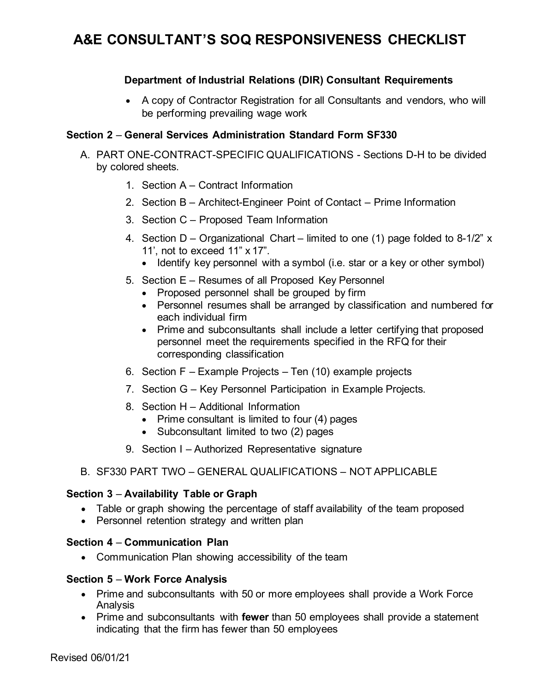## **A&E CONSULTANT'S SOQ RESPONSIVENESS CHECKLIST**

## **Department of Industrial Relations (DIR) Consultant Requirements**

• A copy of Contractor Registration for all Consultants and vendors, who will be performing prevailing wage work

### **Section 2** – **General Services Administration Standard Form SF330**

- A. PART ONE-CONTRACT-SPECIFIC QUALIFICATIONS Sections D-H to be divided by colored sheets.
	- 1. Section A Contract Information
	- 2. Section B Architect-Engineer Point of Contact Prime Information
	- 3. Section C Proposed Team Information
	- 4. Section D Organizational Chart limited to one (1) page folded to 8-1/2" x 11', not to exceed 11" x 17".
		- Identify key personnel with a symbol (i.e. star or a key or other symbol)
	- 5. Section E Resumes of all Proposed Key Personnel
		- Proposed personnel shall be grouped by firm
		- Personnel resumes shall be arranged by classification and numbered for each individual firm
		- Prime and subconsultants shall include a letter certifying that proposed personnel meet the requirements specified in the RFQ for their corresponding classification
	- 6. Section F Example Projects Ten (10) example projects
	- 7. Section G Key Personnel Participation in Example Projects.
	- 8. Section H Additional Information
		- Prime consultant is limited to four (4) pages
		- Subconsultant limited to two (2) pages
	- 9. Section I Authorized Representative signature
- B. SF330 PART TWO GENERAL QUALIFICATIONS NOT APPLICABLE

#### **Section 3** – **Availability Table or Graph**

- Table or graph showing the percentage of staff availability of the team proposed
- Personnel retention strategy and written plan

#### **Section 4** – **Communication Plan**

• Communication Plan showing accessibility of the team

#### **Section 5** – **Work Force Analysis**

- Prime and subconsultants with 50 or more employees shall provide a Work Force Analysis
- Prime and subconsultants with **fewer** than 50 employees shall provide a statement indicating that the firm has fewer than 50 employees